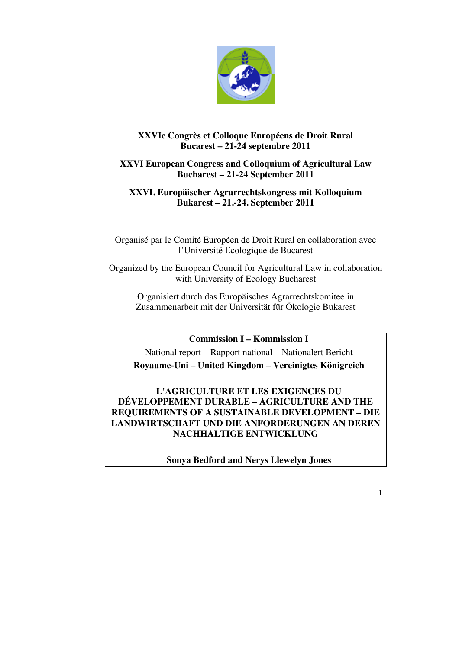

# **XXVIe Congrès et Colloque Européens de Droit Rural Bucarest – 21-24 septembre 2011**

# **XXVI European Congress and Colloquium of Agricultural Law Bucharest – 21-24 September 2011**

# **XXVI. Europäischer Agrarrechtskongress mit Kolloquium Bukarest – 21.-24. September 2011**

Organisé par le Comité Européen de Droit Rural en collaboration avec l'Université Ecologique de Bucarest

Organized by the European Council for Agricultural Law in collaboration with University of Ecology Bucharest

Organisiert durch das Europäisches Agrarrechtskomitee in Zusammenarbeit mit der Universität für Ôkologie Bukarest

**Commission I – Kommission I**

National report – Rapport national – Nationalert Bericht **Royaume-Uni – United Kingdom – Vereinigtes Königreich**

**L'AGRICULTURE ET LES EXIGENCES DU DÉVELOPPEMENT DURABLE – AGRICULTURE AND THE REQUIREMENTS OF A SUSTAINABLE DEVELOPMENT – DIE LANDWIRTSCHAFT UND DIE ANFORDERUNGEN AN DEREN NACHHALTIGE ENTWICKLUNG**

**Sonya Bedford and Nerys Llewelyn Jones**

1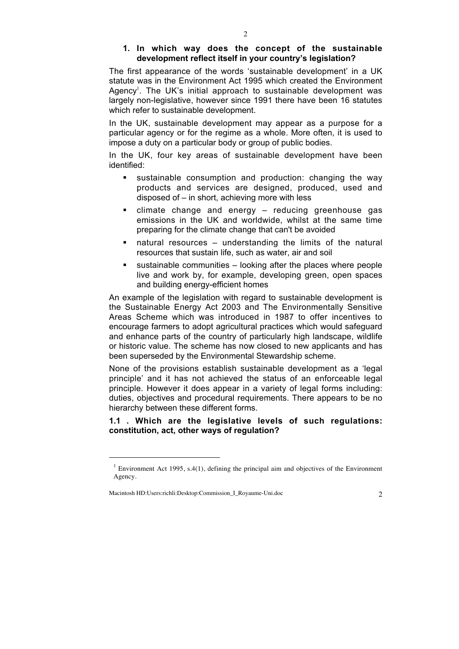## **1. In which way does the concept of the sustainable development reflect itself in your country's legislation?**

The first appearance of the words 'sustainable development' in a UK statute was in the Environment Act 1995 which created the Environment Agency<sup>1</sup>. The UK's initial approach to sustainable development was largely non-legislative, however since 1991 there have been 16 statutes which refer to sustainable development.

In the UK, sustainable development may appear as a purpose for a particular agency or for the regime as a whole. More often, it is used to impose a duty on a particular body or group of public bodies.

In the UK, four key areas of sustainable development have been identified:

- sustainable consumption and production: changing the way products and services are designed, produced, used and disposed of – in short, achieving more with less
- climate change and energy reducing greenhouse gas emissions in the UK and worldwide, whilst at the same time preparing for the climate change that can't be avoided
- natural resources understanding the limits of the natural resources that sustain life, such as water, air and soil
- sustainable communities looking after the places where people live and work by, for example, developing green, open spaces and building energy-efficient homes

An example of the legislation with regard to sustainable development is the Sustainable Energy Act 2003 and The Environmentally Sensitive Areas Scheme which was introduced in 1987 to offer incentives to encourage farmers to adopt agricultural practices which would safeguard and enhance parts of the country of particularly high landscape, wildlife or historic value. The scheme has now closed to new applicants and has been superseded by the Environmental Stewardship scheme.

None of the provisions establish sustainable development as a 'legal principle' and it has not achieved the status of an enforceable legal principle. However it does appear in a variety of legal forms including: duties, objectives and procedural requirements. There appears to be no hierarchy between these different forms.

# **1.1 . Which are the legislative levels of such regulations: constitution, act, other ways of regulation?**

 $\overline{a}$ 

<sup>&</sup>lt;sup>1</sup> Environment Act 1995, s.4(1), defining the principal aim and objectives of the Environment Agency.

Macintosh HD:Users:richli:Desktop:Commission\_I\_Royaume-Uni.doc 2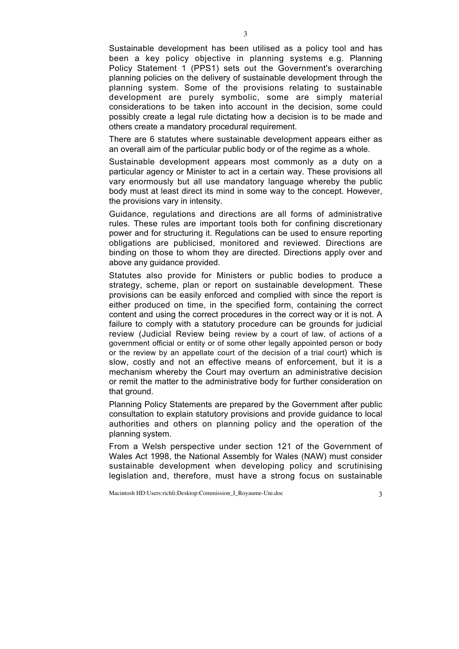Sustainable development has been utilised as a policy tool and has been a key policy objective in planning systems e.g. Planning Policy Statement 1 (PPS1) sets out the Government's overarching planning policies on the delivery of sustainable development through the planning system. Some of the provisions relating to sustainable development are purely symbolic, some are simply material considerations to be taken into account in the decision, some could possibly create a legal rule dictating how a decision is to be made and others create a mandatory procedural requirement.

There are 6 statutes where sustainable development appears either as an overall aim of the particular public body or of the regime as a whole.

Sustainable development appears most commonly as a duty on a particular agency or Minister to act in a certain way. These provisions all vary enormously but all use mandatory language whereby the public body must at least direct its mind in some way to the concept. However, the provisions vary in intensity.

Guidance, regulations and directions are all forms of administrative rules. These rules are important tools both for confining discretionary power and for structuring it. Regulations can be used to ensure reporting obligations are publicised, monitored and reviewed. Directions are binding on those to whom they are directed. Directions apply over and above any guidance provided.

Statutes also provide for Ministers or public bodies to produce a strategy, scheme, plan or report on sustainable development. These provisions can be easily enforced and complied with since the report is either produced on time, in the specified form, containing the correct content and using the correct procedures in the correct way or it is not. A failure to comply with a statutory procedure can be grounds for judicial review (Judicial Review being review by a court of law, of actions of a government official or entity or of some other legally appointed person or body or the review by an appellate court of the decision of a trial court) which is slow, costly and not an effective means of enforcement, but it is a mechanism whereby the Court may overturn an administrative decision or remit the matter to the administrative body for further consideration on that ground.

Planning Policy Statements are prepared by the Government after public consultation to explain statutory provisions and provide guidance to local authorities and others on planning policy and the operation of the planning system.

From a Welsh perspective under section 121 of the Government of Wales Act 1998, the National Assembly for Wales (NAW) must consider sustainable development when developing policy and scrutinising legislation and, therefore, must have a strong focus on sustainable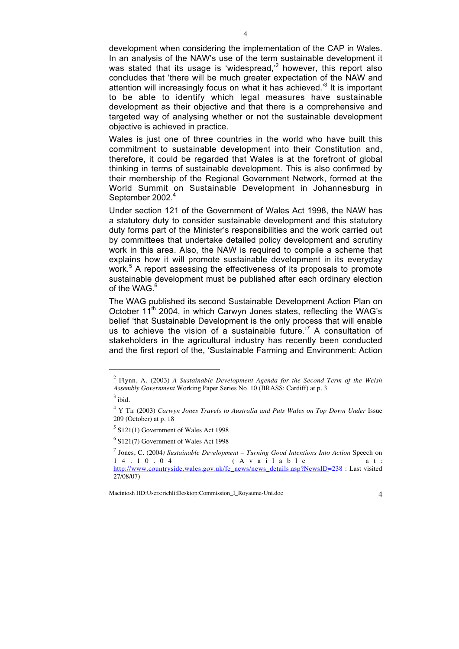development when considering the implementation of the CAP in Wales. In an analysis of the NAW's use of the term sustainable development it was stated that its usage is 'widespread, $2^2$  however, this report also concludes that 'there will be much greater expectation of the NAW and attention will increasingly focus on what it has achieved.<sup>3</sup> It is important to be able to identify which legal measures have sustainable development as their objective and that there is a comprehensive and targeted way of analysing whether or not the sustainable development objective is achieved in practice.

Wales is just one of three countries in the world who have built this commitment to sustainable development into their Constitution and, therefore, it could be regarded that Wales is at the forefront of global thinking in terms of sustainable development. This is also confirmed by their membership of the Regional Government Network, formed at the World Summit on Sustainable Development in Johannesburg in September 2002.<sup>4</sup>

Under section 121 of the Government of Wales Act 1998, the NAW has a statutory duty to consider sustainable development and this statutory duty forms part of the Minister's responsibilities and the work carried out by committees that undertake detailed policy development and scrutiny work in this area. Also, the NAW is required to compile a scheme that explains how it will promote sustainable development in its everyday work.<sup>5</sup> A report assessing the effectiveness of its proposals to promote sustainable development must be published after each ordinary election of the WAG  $<sup>6</sup>$ </sup>

The WAG published its second Sustainable Development Action Plan on October 11<sup>th</sup> 2004, in which Carwyn Jones states, reflecting the WAG's belief 'that Sustainable Development is the only process that will enable us to achieve the vision of a sustainable future.<sup> $7$ </sup> A consultation of stakeholders in the agricultural industry has recently been conducted and the first report of the, 'Sustainable Farming and Environment: Action

 $\overline{a}$ 

<sup>2</sup> Flynn, A. (2003) *A Sustainable Development Agenda for the Second Term of the Welsh Assembly Government* Working Paper Series No. 10 (BRASS: Cardiff) at p. 3

 $3$  ibid.

<sup>4</sup> Y Tir (2003) *Carwyn Jones Travels to Australia and Puts Wales on Top Down Under* Issue 209 (October) at p. 18

<sup>5</sup> S121(1) Government of Wales Act 1998

<sup>6</sup> S121(7) Government of Wales Act 1998

<sup>&</sup>lt;sup>7</sup> Jones, C. (2004) Sustainable Development – Turning Good Intentions Into Action Speech on 1 4  $\cdot$  1 0  $\cdot$  0 4 (A v a i 1 a b 1 e a t : (Available at: http://www.countryside.wales.gov.uk/fe\_news/news\_details.asp?NewsID=238 : Last visited 27/08/07)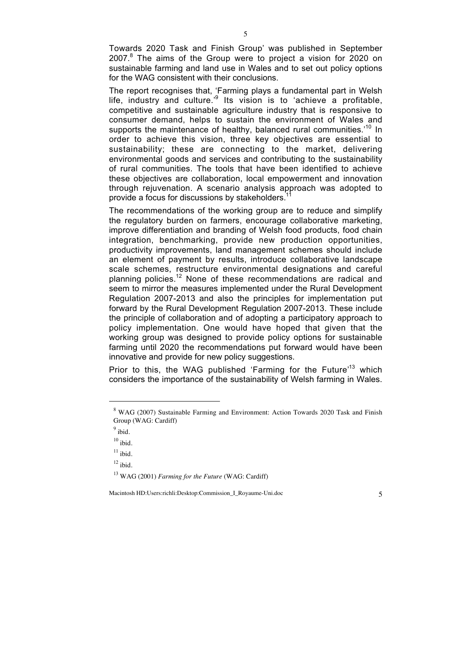Towards 2020 Task and Finish Group' was published in September 2007.<sup>8</sup> The aims of the Group were to project a vision for 2020 on sustainable farming and land use in Wales and to set out policy options for the WAG consistent with their conclusions.

The report recognises that, 'Farming plays a fundamental part in Welsh life, industry and culture.<sup>9</sup> Its vision is to 'achieve a profitable, competitive and sustainable agriculture industry that is responsive to consumer demand, helps to sustain the environment of Wales and supports the maintenance of healthy, balanced rural communities.<sup>10</sup> In order to achieve this vision, three key objectives are essential to sustainability; these are connecting to the market, delivering environmental goods and services and contributing to the sustainability of rural communities. The tools that have been identified to achieve these objectives are collaboration, local empowerment and innovation through rejuvenation. A scenario analysis approach was adopted to provide a focus for discussions by stakeholders.

The recommendations of the working group are to reduce and simplify the regulatory burden on farmers, encourage collaborative marketing, improve differentiation and branding of Welsh food products, food chain integration, benchmarking, provide new production opportunities, productivity improvements, land management schemes should include an element of payment by results, introduce collaborative landscape scale schemes, restructure environmental designations and careful planning policies.<sup>12</sup> None of these recommendations are radical and seem to mirror the measures implemented under the Rural Development Regulation 2007-2013 and also the principles for implementation put forward by the Rural Development Regulation 2007-2013. These include the principle of collaboration and of adopting a participatory approach to policy implementation. One would have hoped that given that the working group was designed to provide policy options for sustainable farming until 2020 the recommendations put forward would have been innovative and provide for new policy suggestions.

Prior to this, the WAG published 'Farming for the Future'<sup>13</sup> which considers the importance of the sustainability of Welsh farming in Wales.

 $\overline{a}$ 

<sup>8</sup> WAG (2007) Sustainable Farming and Environment: Action Towards 2020 Task and Finish Group (WAG: Cardiff)

<sup>&</sup>lt;sup>9</sup> ibid.

 $10$  ibid.

 $11$  ibid.

 $12$  ibid.

<sup>13</sup> WAG (2001) *Farming for the Future* (WAG: Cardiff)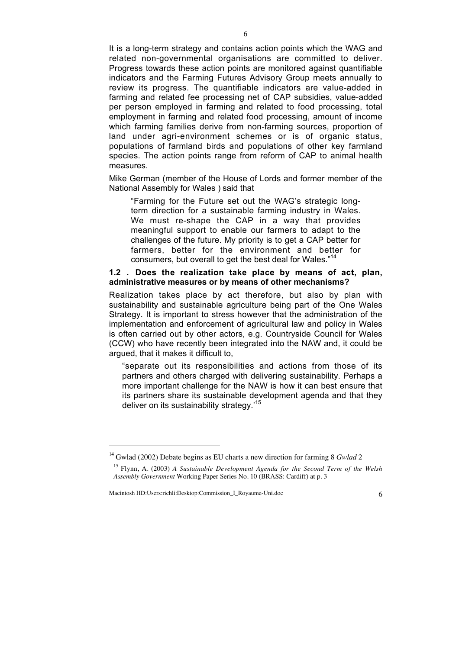It is a long-term strategy and contains action points which the WAG and related non-governmental organisations are committed to deliver. Progress towards these action points are monitored against quantifiable indicators and the Farming Futures Advisory Group meets annually to review its progress. The quantifiable indicators are value-added in farming and related fee processing net of CAP subsidies, value-added per person employed in farming and related to food processing, total employment in farming and related food processing, amount of income which farming families derive from non-farming sources, proportion of land under agri-environment schemes or is of organic status, populations of farmland birds and populations of other key farmland species. The action points range from reform of CAP to animal health measures.

Mike German (member of the House of Lords and former member of the National Assembly for Wales ) said that

"Farming for the Future set out the WAG's strategic longterm direction for a sustainable farming industry in Wales. We must re-shape the CAP in a way that provides meaningful support to enable our farmers to adapt to the challenges of the future. My priority is to get a CAP better for farmers, better for the environment and better for consumers, but overall to get the best deal for Wales."14

#### **1.2 . Does the realization take place by means of act, plan, administrative measures or by means of other mechanisms?**

Realization takes place by act therefore, but also by plan with sustainability and sustainable agriculture being part of the One Wales Strategy. It is important to stress however that the administration of the implementation and enforcement of agricultural law and policy in Wales is often carried out by other actors, e.g. Countryside Council for Wales (CCW) who have recently been integrated into the NAW and, it could be argued, that it makes it difficult to,

"separate out its responsibilities and actions from those of its partners and others charged with delivering sustainability. Perhaps a more important challenge for the NAW is how it can best ensure that its partners share its sustainable development agenda and that they deliver on its sustainability strategy.<sup>15</sup>

1

<sup>&</sup>lt;sup>14</sup> Gwlad (2002) Debate begins as EU charts a new direction for farming 8 Gwlad 2

<sup>15</sup> Flynn, A. (2003) *A Sustainable Development Agenda for the Second Term of the Welsh Assembly Government* Working Paper Series No. 10 (BRASS: Cardiff) at p. 3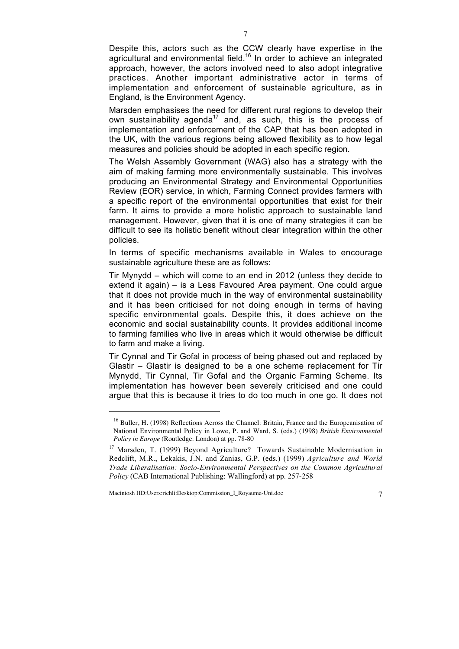Despite this, actors such as the CCW clearly have expertise in the agricultural and environmental field.<sup>16</sup> In order to achieve an integrated approach, however, the actors involved need to also adopt integrative practices. Another important administrative actor in terms of implementation and enforcement of sustainable agriculture, as in England, is the Environment Agency.

Marsden emphasises the need for different rural regions to develop their own sustainability agenda<sup>17</sup> and, as such, this is the process of implementation and enforcement of the CAP that has been adopted in the UK, with the various regions being allowed flexibility as to how legal measures and policies should be adopted in each specific region.

The Welsh Assembly Government (WAG) also has a strategy with the aim of making farming more environmentally sustainable. This involves producing an Environmental Strategy and Environmental Opportunities Review (EOR) service, in which, Farming Connect provides farmers with a specific report of the environmental opportunities that exist for their farm. It aims to provide a more holistic approach to sustainable land management. However, given that it is one of many strategies it can be difficult to see its holistic benefit without clear integration within the other policies.

In terms of specific mechanisms available in Wales to encourage sustainable agriculture these are as follows:

Tir Mynydd – which will come to an end in 2012 (unless they decide to extend it again) – is a Less Favoured Area payment. One could argue that it does not provide much in the way of environmental sustainability and it has been criticised for not doing enough in terms of having specific environmental goals. Despite this, it does achieve on the economic and social sustainability counts. It provides additional income to farming families who live in areas which it would otherwise be difficult to farm and make a living.

Tir Cynnal and Tir Gofal in process of being phased out and replaced by Glastir – Glastir is designed to be a one scheme replacement for Tir Mynydd, Tir Cynnal, Tir Gofal and the Organic Farming Scheme. Its implementation has however been severely criticised and one could argue that this is because it tries to do too much in one go. It does not

Macintosh HD:Users:richli:Desktop:Commission\_I\_Royaume-Uni.doc 7

 $\overline{a}$ 

<sup>&</sup>lt;sup>16</sup> Buller, H. (1998) Reflections Across the Channel: Britain, France and the Europeanisation of National Environmental Policy in Lowe, P. and Ward, S. (eds.) (1998) *British Environmental Policy in Europe* (Routledge: London) at pp. 78-80

<sup>&</sup>lt;sup>17</sup> Marsden, T. (1999) Beyond Agriculture? Towards Sustainable Modernisation in Redclift, M.R., Lekakis, J.N. and Zanias, G.P. (eds.) (1999) *Agriculture and World Trade Liberalisation: Socio-Environmental Perspectives on the Common Agricultural Policy* (CAB International Publishing: Wallingford) at pp. 257-258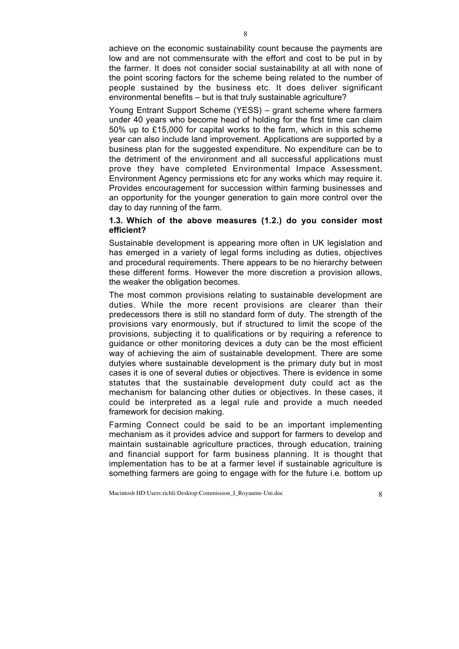achieve on the economic sustainability count because the payments are low and are not commensurate with the effort and cost to be put in by the farmer. It does not consider social sustainability at all with none of the point scoring factors for the scheme being related to the number of people sustained by the business etc. It does deliver significant environmental benefits – but is that truly sustainable agriculture?

Young Entrant Support Scheme (YESS) – grant scheme where farmers under 40 years who become head of holding for the first time can claim 50% up to £15,000 for capital works to the farm, which in this scheme year can also include land improvement. Applications are supported by a business plan for the suggested expenditure. No expenditure can be to the detriment of the environment and all successful applications must prove they have completed Environmental Impace Assessment, Environment Agency permissions etc for any works which may require it. Provides encouragement for succession within farming businesses and an opportunity for the younger generation to gain more control over the day to day running of the farm.

#### **1.3. Which of the above measures (1.2.) do you consider most efficient?**

Sustainable development is appearing more often in UK legislation and has emerged in a variety of legal forms including as duties, objectives and procedural requirements. There appears to be no hierarchy between these different forms. However the more discretion a provision allows, the weaker the obligation becomes.

The most common provisions relating to sustainable development are duties. While the more recent provisions are clearer than their predecessors there is still no standard form of duty. The strength of the provisions vary enormously, but if structured to limit the scope of the provisions, subjecting it to qualifications or by requiring a reference to guidance or other monitoring devices a duty can be the most efficient way of achieving the aim of sustainable development. There are some dutyies where sustainable development is the primary duty but in most cases it is one of several duties or objectives. There is evidence in some statutes that the sustainable development duty could act as the mechanism for balancing other duties or objectives. In these cases, it could be interpreted as a legal rule and provide a much needed framework for decision making.

Farming Connect could be said to be an important implementing mechanism as it provides advice and support for farmers to develop and maintain sustainable agriculture practices, through education, training and financial support for farm business planning. It is thought that implementation has to be at a farmer level if sustainable agriculture is something farmers are going to engage with for the future i.e. bottom up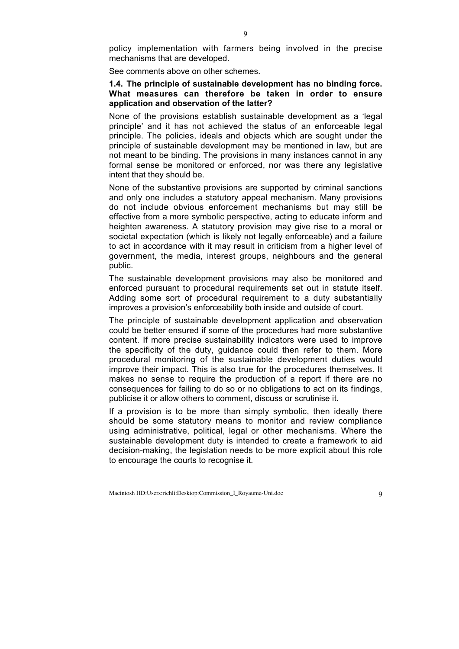policy implementation with farmers being involved in the precise mechanisms that are developed.

See comments above on other schemes.

## **1.4. The principle of sustainable development has no binding force. What measures can therefore be taken in order to ensure application and observation of the latter?**

None of the provisions establish sustainable development as a 'legal principle' and it has not achieved the status of an enforceable legal principle. The policies, ideals and objects which are sought under the principle of sustainable development may be mentioned in law, but are not meant to be binding. The provisions in many instances cannot in any formal sense be monitored or enforced, nor was there any legislative intent that they should be.

None of the substantive provisions are supported by criminal sanctions and only one includes a statutory appeal mechanism. Many provisions do not include obvious enforcement mechanisms but may still be effective from a more symbolic perspective, acting to educate inform and heighten awareness. A statutory provision may give rise to a moral or societal expectation (which is likely not legally enforceable) and a failure to act in accordance with it may result in criticism from a higher level of government, the media, interest groups, neighbours and the general public.

The sustainable development provisions may also be monitored and enforced pursuant to procedural requirements set out in statute itself. Adding some sort of procedural requirement to a duty substantially improves a provision's enforceability both inside and outside of court.

The principle of sustainable development application and observation could be better ensured if some of the procedures had more substantive content. If more precise sustainability indicators were used to improve the specificity of the duty, guidance could then refer to them. More procedural monitoring of the sustainable development duties would improve their impact. This is also true for the procedures themselves. It makes no sense to require the production of a report if there are no consequences for failing to do so or no obligations to act on its findings, publicise it or allow others to comment, discuss or scrutinise it.

If a provision is to be more than simply symbolic, then ideally there should be some statutory means to monitor and review compliance using administrative, political, legal or other mechanisms. Where the sustainable development duty is intended to create a framework to aid decision-making, the legislation needs to be more explicit about this role to encourage the courts to recognise it.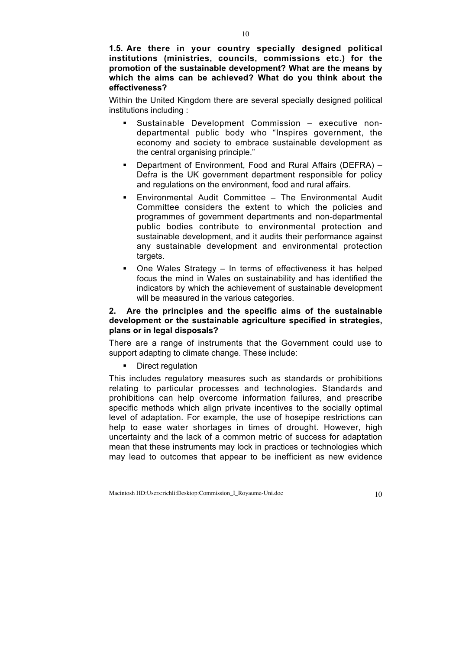**1.5. Are there in your country specially designed political institutions (ministries, councils, commissions etc.) for the promotion of the sustainable development? What are the means by which the aims can be achieved? What do you think about the effectiveness?**

Within the United Kingdom there are several specially designed political institutions including :

- Sustainable Development Commission executive nondepartmental public body who "Inspires government, the economy and society to embrace sustainable development as the central organising principle."
- Department of Environment, Food and Rural Affairs (DEFRA) Defra is the UK government department responsible for policy and regulations on the environment, food and rural affairs.
- Environmental Audit Committee The Environmental Audit Committee considers the extent to which the policies and programmes of government departments and non-departmental public bodies contribute to environmental protection and sustainable development, and it audits their performance against any sustainable development and environmental protection targets.
- One Wales Strategy In terms of effectiveness it has helped focus the mind in Wales on sustainability and has identified the indicators by which the achievement of sustainable development will be measured in the various categories.

### **2. Are the principles and the specific aims of the sustainable development or the sustainable agriculture specified in strategies, plans or in legal disposals?**

There are a range of instruments that the Government could use to support adapting to climate change. These include:

Direct regulation

This includes regulatory measures such as standards or prohibitions relating to particular processes and technologies. Standards and prohibitions can help overcome information failures, and prescribe specific methods which align private incentives to the socially optimal level of adaptation. For example, the use of hosepipe restrictions can help to ease water shortages in times of drought. However, high uncertainty and the lack of a common metric of success for adaptation mean that these instruments may lock in practices or technologies which may lead to outcomes that appear to be inefficient as new evidence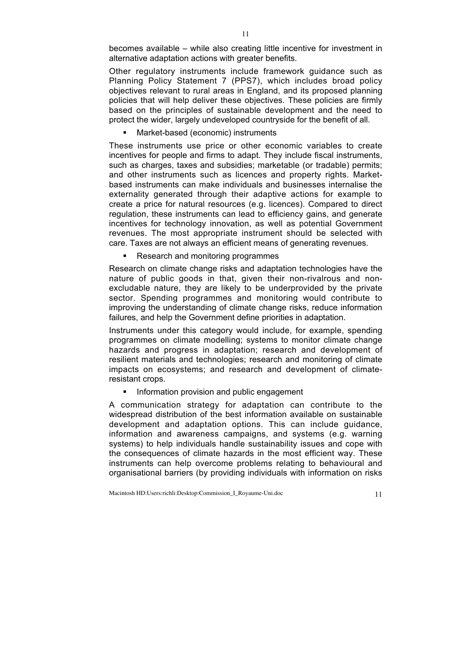becomes available – while also creating little incentive for investment in alternative adaptation actions with greater benefits.

Other regulatory instruments include framework guidance such as Planning Policy Statement 7 (PPS7), which includes broad policy objectives relevant to rural areas in England, and its proposed planning policies that will help deliver these objectives. These policies are firmly based on the principles of sustainable development and the need to protect the wider, largely undeveloped countryside for the benefit of all.

#### Market-based (economic) instruments

These instruments use price or other economic variables to create incentives for people and firms to adapt. They include fiscal instruments, such as charges, taxes and subsidies; marketable (or tradable) permits; and other instruments such as licences and property rights. Marketbased instruments can make individuals and businesses internalise the externality generated through their adaptive actions for example to create a price for natural resources (e.g. licences). Compared to direct regulation, these instruments can lead to efficiency gains, and generate incentives for technology innovation, as well as potential Government revenues. The most appropriate instrument should be selected with care. Taxes are not always an efficient means of generating revenues.

• Research and monitoring programmes

Research on climate change risks and adaptation technologies have the nature of public goods in that, given their non-rivalrous and nonexcludable nature, they are likely to be underprovided by the private sector. Spending programmes and monitoring would contribute to improving the understanding of climate change risks, reduce information failures, and help the Government define priorities in adaptation.

Instruments under this category would include, for example, spending programmes on climate modelling; systems to monitor climate change hazards and progress in adaptation; research and development of resilient materials and technologies; research and monitoring of climate impacts on ecosystems; and research and development of climateresistant crops.

Information provision and public engagement

A communication strategy for adaptation can contribute to the widespread distribution of the best information available on sustainable development and adaptation options. This can include guidance, information and awareness campaigns, and systems (e.g. warning systems) to help individuals handle sustainability issues and cope with the consequences of climate hazards in the most efficient way. These instruments can help overcome problems relating to behavioural and organisational barriers (by providing individuals with information on risks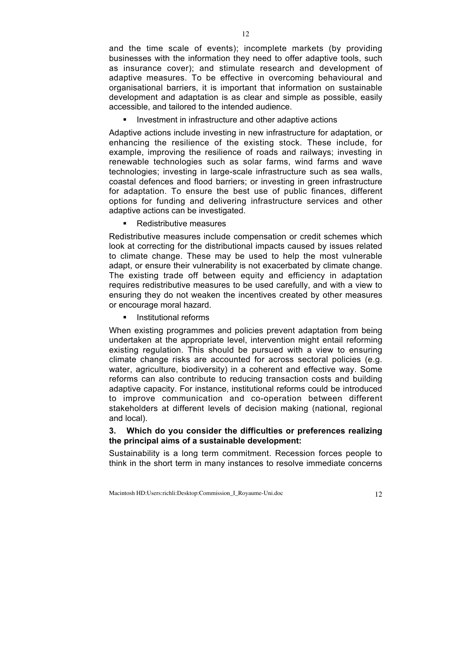and the time scale of events); incomplete markets (by providing businesses with the information they need to offer adaptive tools, such as insurance cover); and stimulate research and development of adaptive measures. To be effective in overcoming behavioural and organisational barriers, it is important that information on sustainable development and adaptation is as clear and simple as possible, easily accessible, and tailored to the intended audience.

Investment in infrastructure and other adaptive actions

Adaptive actions include investing in new infrastructure for adaptation, or enhancing the resilience of the existing stock. These include, for example, improving the resilience of roads and railways; investing in renewable technologies such as solar farms, wind farms and wave technologies; investing in large-scale infrastructure such as sea walls, coastal defences and flood barriers; or investing in green infrastructure for adaptation. To ensure the best use of public finances, different options for funding and delivering infrastructure services and other adaptive actions can be investigated.

Redistributive measures

Redistributive measures include compensation or credit schemes which look at correcting for the distributional impacts caused by issues related to climate change. These may be used to help the most vulnerable adapt, or ensure their vulnerability is not exacerbated by climate change. The existing trade off between equity and efficiency in adaptation requires redistributive measures to be used carefully, and with a view to ensuring they do not weaken the incentives created by other measures or encourage moral hazard.

**Institutional reforms** 

When existing programmes and policies prevent adaptation from being undertaken at the appropriate level, intervention might entail reforming existing regulation. This should be pursued with a view to ensuring climate change risks are accounted for across sectoral policies (e.g. water, agriculture, biodiversity) in a coherent and effective way. Some reforms can also contribute to reducing transaction costs and building adaptive capacity. For instance, institutional reforms could be introduced to improve communication and co-operation between different stakeholders at different levels of decision making (national, regional and local).

# **3. Which do you consider the difficulties or preferences realizing the principal aims of a sustainable development:**

Sustainability is a long term commitment. Recession forces people to think in the short term in many instances to resolve immediate concerns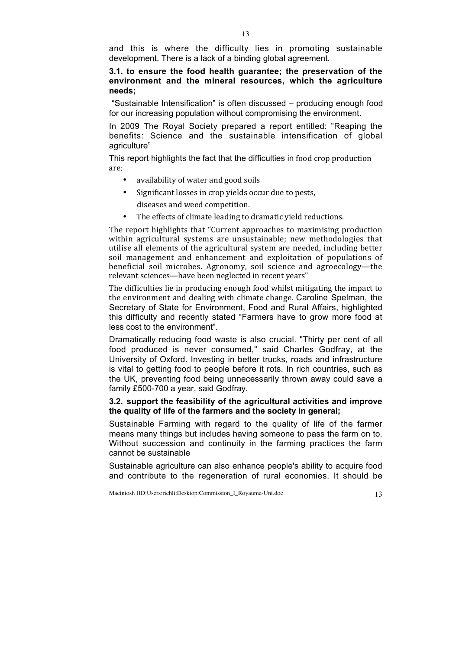and this is where the difficulty lies in promoting sustainable development. There is a lack of a binding global agreement.

# **3.1. to ensure the food health guarantee; the preservation of the environment and the mineral resources, which the agriculture needs;**

"Sustainable Intensification" is often discussed – producing enough food for our increasing population without compromising the environment.

In 2009 The Royal Society prepared a report entitled: "Reaping the benefits: Science and the sustainable intensification of global agriculture"

This report highlights the fact that the difficulties in food crop production are;

- availability of water and good soils
- Significant losses in crop yields occur due to pests, diseases and weed competition.
- The effects of climate leading to dramatic vield reductions.

The report highlights that "Current approaches to maximising production within agricultural systems are unsustainable; new methodologies that utilise all elements of the agricultural system are needed, including better soil management and enhancement and exploitation of populations of beneficial soil microbes. Agronomy, soil science and agroecology—the relevant sciences—have been neglected in recent years"

The difficulties lie in producing enough food whilst mitigating the impact to the environment and dealing with climate change. Caroline Spelman, the Secretary of State for Environment, Food and Rural Affairs, highlighted this difficulty and recently stated "Farmers have to grow more food at less cost to the environment".

Dramatically reducing food waste is also crucial. "Thirty per cent of all food produced is never consumed," said Charles Godfray, at the University of Oxford. Investing in better trucks, roads and infrastructure is vital to getting food to people before it rots. In rich countries, such as the UK, preventing food being unnecessarily thrown away could save a family £500-700 a year, said Godfray.

## **3.2. support the feasibility of the agricultural activities and improve the quality of life of the farmers and the society in general;**

Sustainable Farming with regard to the quality of life of the farmer means many things but includes having someone to pass the farm on to. Without succession and continuity in the farming practices the farm cannot be sustainable

Sustainable agriculture can also enhance people's ability to acquire food and contribute to the regeneration of rural economies. It should be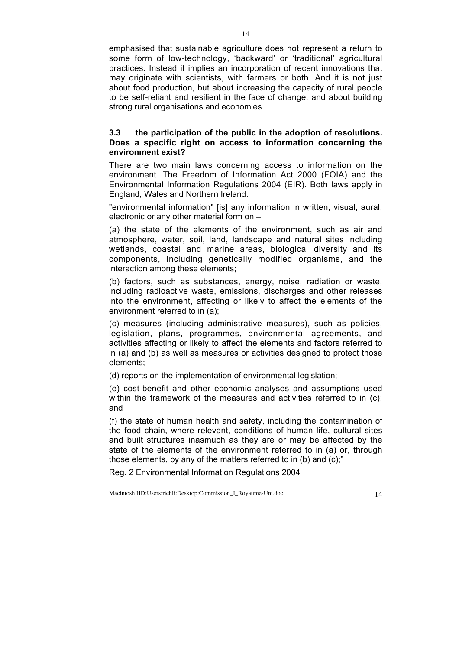emphasised that sustainable agriculture does not represent a return to some form of low-technology, 'backward' or 'traditional' agricultural practices. Instead it implies an incorporation of recent innovations that may originate with scientists, with farmers or both. And it is not just about food production, but about increasing the capacity of rural people to be self-reliant and resilient in the face of change, and about building strong rural organisations and economies

# **3.3 the participation of the public in the adoption of resolutions. Does a specific right on access to information concerning the environment exist?**

There are two main laws concerning access to information on the environment. The Freedom of Information Act 2000 (FOIA) and the Environmental Information Regulations 2004 (EIR). Both laws apply in England, Wales and Northern Ireland.

"environmental information" [is] any information in written, visual, aural, electronic or any other material form on –

(a) the state of the elements of the environment, such as air and atmosphere, water, soil, land, landscape and natural sites including wetlands, coastal and marine areas, biological diversity and its components, including genetically modified organisms, and the interaction among these elements;

(b) factors, such as substances, energy, noise, radiation or waste, including radioactive waste, emissions, discharges and other releases into the environment, affecting or likely to affect the elements of the environment referred to in (a);

(c) measures (including administrative measures), such as policies, legislation, plans, programmes, environmental agreements, and activities affecting or likely to affect the elements and factors referred to in (a) and (b) as well as measures or activities designed to protect those elements;

(d) reports on the implementation of environmental legislation;

(e) cost-benefit and other economic analyses and assumptions used within the framework of the measures and activities referred to in (c); and

(f) the state of human health and safety, including the contamination of the food chain, where relevant, conditions of human life, cultural sites and built structures inasmuch as they are or may be affected by the state of the elements of the environment referred to in (a) or, through those elements, by any of the matters referred to in (b) and (c);"

Reg. 2 Environmental Information Regulations 2004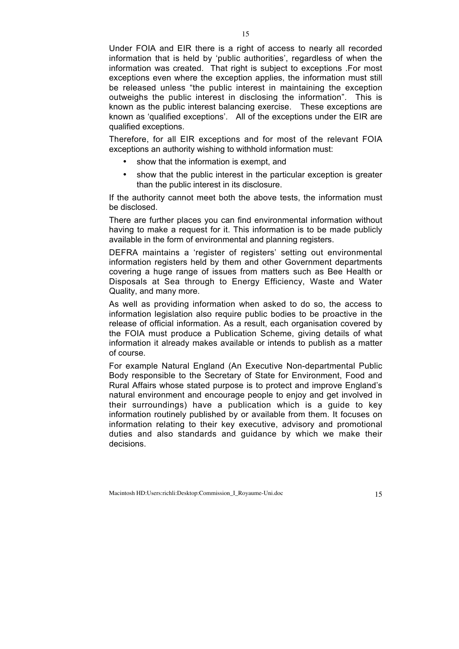Under FOIA and EIR there is a right of access to nearly all recorded information that is held by 'public authorities', regardless of when the information was created. That right is subject to exceptions .For most exceptions even where the exception applies, the information must still be released unless "the public interest in maintaining the exception outweighs the public interest in disclosing the information". This is known as the public interest balancing exercise. These exceptions are known as 'qualified exceptions'. All of the exceptions under the EIR are qualified exceptions.

Therefore, for all EIR exceptions and for most of the relevant FOIA exceptions an authority wishing to withhold information must:

- show that the information is exempt, and
- show that the public interest in the particular exception is greater than the public interest in its disclosure.

If the authority cannot meet both the above tests, the information must be disclosed.

There are further places you can find environmental information without having to make a request for it. This information is to be made publicly available in the form of environmental and planning registers.

DEFRA maintains a 'register of registers' setting out environmental information registers held by them and other Government departments covering a huge range of issues from matters such as Bee Health or Disposals at Sea through to Energy Efficiency, Waste and Water Quality, and many more.

As well as providing information when asked to do so, the access to information legislation also require public bodies to be proactive in the release of official information. As a result, each organisation covered by the FOIA must produce a Publication Scheme, giving details of what information it already makes available or intends to publish as a matter of course.

For example Natural England (An Executive Non-departmental Public Body responsible to the Secretary of State for Environment, Food and Rural Affairs whose stated purpose is to protect and improve England's natural environment and encourage people to enjoy and get involved in their surroundings) have a publication which is a guide to key information routinely published by or available from them. It focuses on information relating to their key executive, advisory and promotional duties and also standards and guidance by which we make their decisions.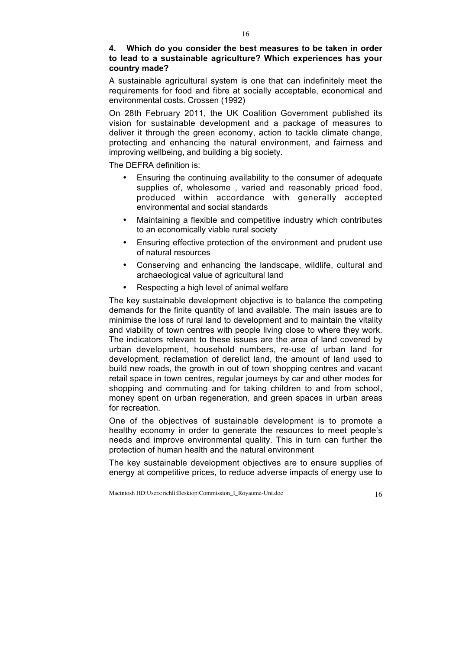# **4. Which do you consider the best measures to be taken in order to lead to a sustainable agriculture? Which experiences has your country made?**

A sustainable agricultural system is one that can indefinitely meet the requirements for food and fibre at socially acceptable, economical and environmental costs. Crossen (1992)

On 28th February 2011, the UK Coalition Government published its vision for sustainable development and a package of measures to deliver it through the green economy, action to tackle climate change, protecting and enhancing the natural environment, and fairness and improving wellbeing, and building a big society.

The DEFRA definition is:

- Ensuring the continuing availability to the consumer of adequate supplies of, wholesome , varied and reasonably priced food, produced within accordance with generally accepted environmental and social standards
- Maintaining a flexible and competitive industry which contributes to an economically viable rural society
- Ensuring effective protection of the environment and prudent use of natural resources
- Conserving and enhancing the landscape, wildlife, cultural and archaeological value of agricultural land
- Respecting a high level of animal welfare

The key sustainable development objective is to balance the competing demands for the finite quantity of land available. The main issues are to minimise the loss of rural land to development and to maintain the vitality and viability of town centres with people living close to where they work. The indicators relevant to these issues are the area of land covered by urban development, household numbers, re-use of urban land for development, reclamation of derelict land, the amount of land used to build new roads, the growth in out of town shopping centres and vacant retail space in town centres, regular journeys by car and other modes for shopping and commuting and for taking children to and from school, money spent on urban regeneration, and green spaces in urban areas for recreation.

One of the objectives of sustainable development is to promote a healthy economy in order to generate the resources to meet people's needs and improve environmental quality. This in turn can further the protection of human health and the natural environment

The key sustainable development objectives are to ensure supplies of energy at competitive prices, to reduce adverse impacts of energy use to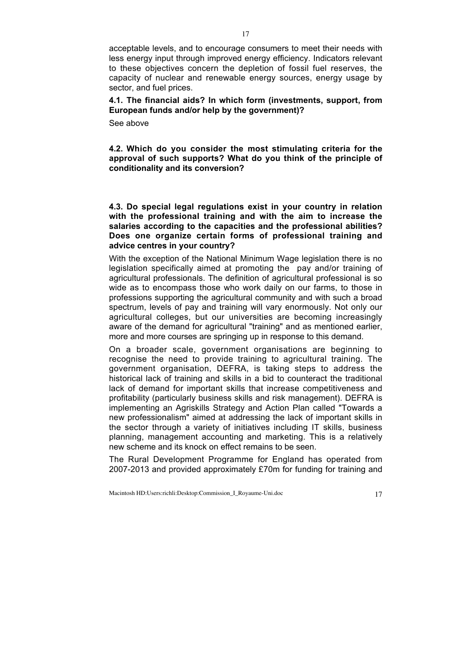acceptable levels, and to encourage consumers to meet their needs with less energy input through improved energy efficiency. Indicators relevant to these objectives concern the depletion of fossil fuel reserves, the capacity of nuclear and renewable energy sources, energy usage by sector, and fuel prices.

**4.1. The financial aids? In which form (investments, support, from European funds and/or help by the government)?**

See above

**4.2. Which do you consider the most stimulating criteria for the approval of such supports? What do you think of the principle of conditionality and its conversion?**

**4.3. Do special legal regulations exist in your country in relation with the professional training and with the aim to increase the salaries according to the capacities and the professional abilities? Does one organize certain forms of professional training and advice centres in your country?**

With the exception of the National Minimum Wage legislation there is no legislation specifically aimed at promoting the pay and/or training of agricultural professionals. The definition of agricultural professional is so wide as to encompass those who work daily on our farms, to those in professions supporting the agricultural community and with such a broad spectrum, levels of pay and training will vary enormously. Not only our agricultural colleges, but our universities are becoming increasingly aware of the demand for agricultural "training" and as mentioned earlier, more and more courses are springing up in response to this demand.

On a broader scale, government organisations are beginning to recognise the need to provide training to agricultural training. The government organisation, DEFRA, is taking steps to address the historical lack of training and skills in a bid to counteract the traditional lack of demand for important skills that increase competitiveness and profitability (particularly business skills and risk management). DEFRA is implementing an Agriskills Strategy and Action Plan called "Towards a new professionalism" aimed at addressing the lack of important skills in the sector through a variety of initiatives including IT skills, business planning, management accounting and marketing. This is a relatively new scheme and its knock on effect remains to be seen.

The Rural Development Programme for England has operated from 2007-2013 and provided approximately £70m for funding for training and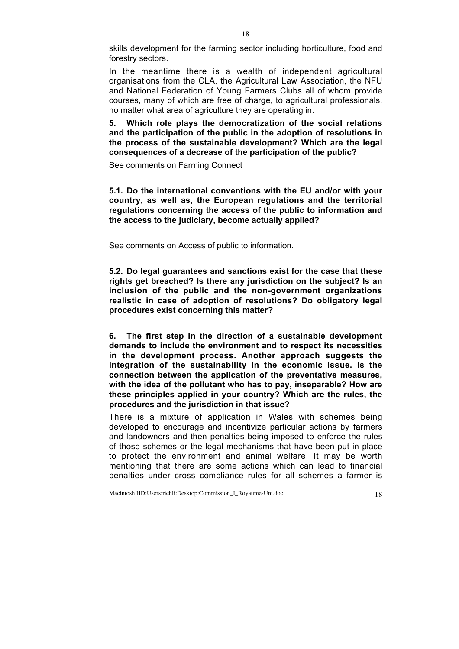skills development for the farming sector including horticulture, food and forestry sectors.

In the meantime there is a wealth of independent agricultural organisations from the CLA, the Agricultural Law Association, the NFU and National Federation of Young Farmers Clubs all of whom provide courses, many of which are free of charge, to agricultural professionals, no matter what area of agriculture they are operating in.

**5. Which role plays the democratization of the social relations and the participation of the public in the adoption of resolutions in the process of the sustainable development? Which are the legal consequences of a decrease of the participation of the public?**

See comments on Farming Connect

**5.1. Do the international conventions with the EU and/or with your country, as well as, the European regulations and the territorial regulations concerning the access of the public to information and the access to the judiciary, become actually applied?**

See comments on Access of public to information.

**5.2. Do legal guarantees and sanctions exist for the case that these rights get breached? Is there any jurisdiction on the subject? Is an inclusion of the public and the non-government organizations realistic in case of adoption of resolutions? Do obligatory legal procedures exist concerning this matter?**

**6. The first step in the direction of a sustainable development demands to include the environment and to respect its necessities in the development process. Another approach suggests the integration of the sustainability in the economic issue. Is the connection between the application of the preventative measures, with the idea of the pollutant who has to pay, inseparable? How are these principles applied in your country? Which are the rules, the procedures and the jurisdiction in that issue?**

There is a mixture of application in Wales with schemes being developed to encourage and incentivize particular actions by farmers and landowners and then penalties being imposed to enforce the rules of those schemes or the legal mechanisms that have been put in place to protect the environment and animal welfare. It may be worth mentioning that there are some actions which can lead to financial penalties under cross compliance rules for all schemes a farmer is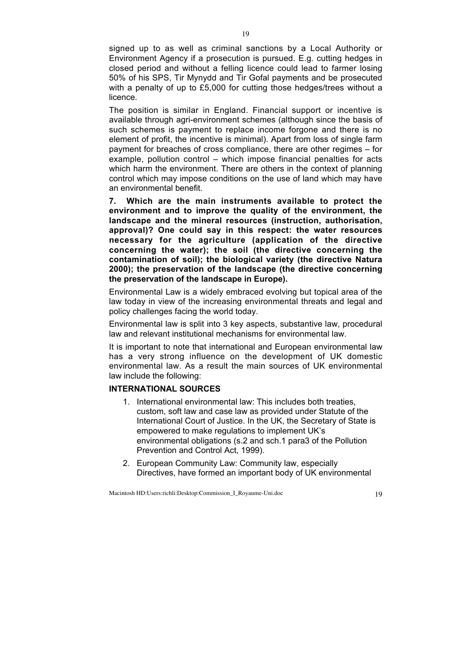signed up to as well as criminal sanctions by a Local Authority or Environment Agency if a prosecution is pursued. E.g. cutting hedges in closed period and without a felling licence could lead to farmer losing 50% of his SPS, Tir Mynydd and Tir Gofal payments and be prosecuted with a penalty of up to £5,000 for cutting those hedges/trees without a licence.

The position is similar in England. Financial support or incentive is available through agri-environment schemes (although since the basis of such schemes is payment to replace income forgone and there is no element of profit, the incentive is minimal). Apart from loss of single farm payment for breaches of cross compliance, there are other regimes – for example, pollution control – which impose financial penalties for acts which harm the environment. There are others in the context of planning control which may impose conditions on the use of land which may have an environmental benefit.

**7. Which are the main instruments available to protect the environment and to improve the quality of the environment, the landscape and the mineral resources (instruction, authorisation, approval)? One could say in this respect: the water resources necessary for the agriculture (application of the directive concerning the water); the soil (the directive concerning the contamination of soil); the biological variety (the directive Natura 2000); the preservation of the landscape (the directive concerning the preservation of the landscape in Europe).**

Environmental Law is a widely embraced evolving but topical area of the law today in view of the increasing environmental threats and legal and policy challenges facing the world today.

Environmental law is split into 3 key aspects, substantive law, procedural law and relevant institutional mechanisms for environmental law.

It is important to note that international and European environmental law has a very strong influence on the development of UK domestic environmental law. As a result the main sources of UK environmental law include the following:

## **INTERNATIONAL SOURCES**

- 1. International environmental law: This includes both treaties, custom, soft law and case law as provided under Statute of the International Court of Justice. In the UK, the Secretary of State is empowered to make regulations to implement UK's environmental obligations (s.2 and sch.1 para3 of the Pollution Prevention and Control Act, 1999).
- 2. European Community Law: Community law, especially Directives, have formed an important body of UK environmental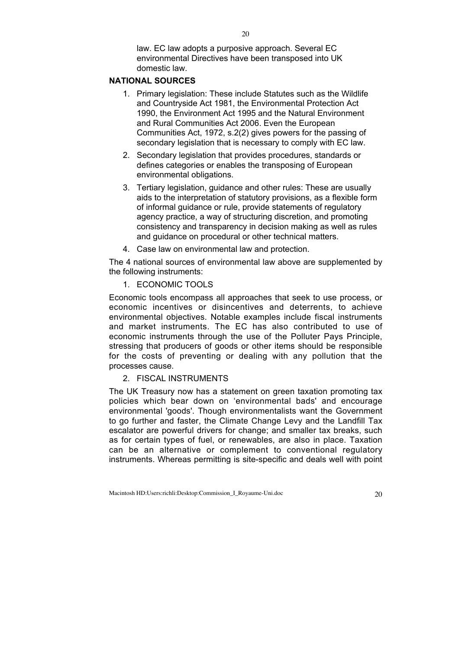law. EC law adopts a purposive approach. Several EC environmental Directives have been transposed into UK domestic law.

# **NATIONAL SOURCES**

- 1. Primary legislation: These include Statutes such as the Wildlife and Countryside Act 1981, the Environmental Protection Act 1990, the Environment Act 1995 and the Natural Environment and Rural Communities Act 2006. Even the European Communities Act, 1972, s.2(2) gives powers for the passing of secondary legislation that is necessary to comply with EC law.
- 2. Secondary legislation that provides procedures, standards or defines categories or enables the transposing of European environmental obligations.
- 3. Tertiary legislation, guidance and other rules: These are usually aids to the interpretation of statutory provisions, as a flexible form of informal guidance or rule, provide statements of regulatory agency practice, a way of structuring discretion, and promoting consistency and transparency in decision making as well as rules and guidance on procedural or other technical matters.
- 4. Case law on environmental law and protection.

The 4 national sources of environmental law above are supplemented by the following instruments:

1. ECONOMIC TOOLS

Economic tools encompass all approaches that seek to use process, or economic incentives or disincentives and deterrents, to achieve environmental objectives. Notable examples include fiscal instruments and market instruments. The EC has also contributed to use of economic instruments through the use of the Polluter Pays Principle, stressing that producers of goods or other items should be responsible for the costs of preventing or dealing with any pollution that the processes cause.

2. FISCAL INSTRUMENTS

The UK Treasury now has a statement on green taxation promoting tax policies which bear down on 'environmental bads' and encourage environmental 'goods'. Though environmentalists want the Government to go further and faster, the Climate Change Levy and the Landfill Tax escalator are powerful drivers for change; and smaller tax breaks, such as for certain types of fuel, or renewables, are also in place. Taxation can be an alternative or complement to conventional regulatory instruments. Whereas permitting is site-specific and deals well with point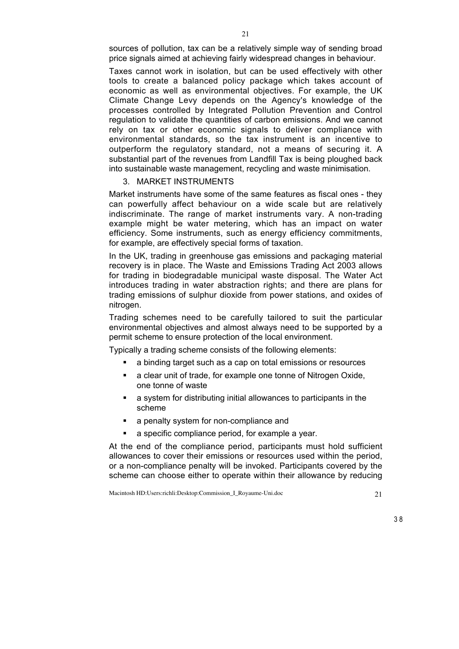sources of pollution, tax can be a relatively simple way of sending broad price signals aimed at achieving fairly widespread changes in behaviour.

Taxes cannot work in isolation, but can be used effectively with other tools to create a balanced policy package which takes account of economic as well as environmental objectives. For example, the UK Climate Change Levy depends on the Agency's knowledge of the processes controlled by Integrated Pollution Prevention and Control regulation to validate the quantities of carbon emissions. And we cannot rely on tax or other economic signals to deliver compliance with environmental standards, so the tax instrument is an incentive to outperform the regulatory standard, not a means of securing it. A substantial part of the revenues from Landfill Tax is being ploughed back into sustainable waste management, recycling and waste minimisation.

# 3. MARKET INSTRUMENTS

Market instruments have some of the same features as fiscal ones - they can powerfully affect behaviour on a wide scale but are relatively indiscriminate. The range of market instruments vary. A non-trading example might be water metering, which has an impact on water efficiency. Some instruments, such as energy efficiency commitments, for example, are effectively special forms of taxation.

In the UK, trading in greenhouse gas emissions and packaging material recovery is in place. The Waste and Emissions Trading Act 2003 allows for trading in biodegradable municipal waste disposal. The Water Act introduces trading in water abstraction rights; and there are plans for trading emissions of sulphur dioxide from power stations, and oxides of nitrogen.

Trading schemes need to be carefully tailored to suit the particular environmental objectives and almost always need to be supported by a permit scheme to ensure protection of the local environment.

Typically a trading scheme consists of the following elements:

- a binding target such as a cap on total emissions or resources
- a clear unit of trade, for example one tonne of Nitrogen Oxide, one tonne of waste
- a system for distributing initial allowances to participants in the scheme
- a penalty system for non-compliance and
- a specific compliance period, for example a year.

At the end of the compliance period, participants must hold sufficient allowances to cover their emissions or resources used within the period, or a non-compliance penalty will be invoked. Participants covered by the scheme can choose either to operate within their allowance by reducing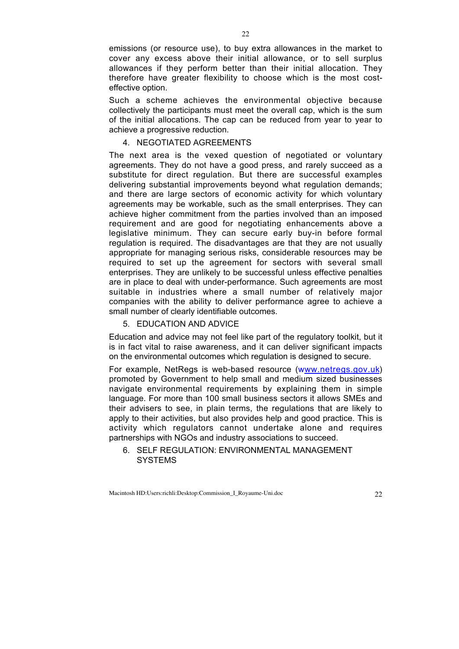emissions (or resource use), to buy extra allowances in the market to cover any excess above their initial allowance, or to sell surplus allowances if they perform better than their initial allocation. They therefore have greater flexibility to choose which is the most costeffective option.

Such a scheme achieves the environmental objective because collectively the participants must meet the overall cap, which is the sum of the initial allocations. The cap can be reduced from year to year to achieve a progressive reduction.

#### 4. NEGOTIATED AGREEMENTS

The next area is the vexed question of negotiated or voluntary agreements. They do not have a good press, and rarely succeed as a substitute for direct regulation. But there are successful examples delivering substantial improvements beyond what regulation demands; and there are large sectors of economic activity for which voluntary agreements may be workable, such as the small enterprises. They can achieve higher commitment from the parties involved than an imposed requirement and are good for negotiating enhancements above a legislative minimum. They can secure early buy-in before formal regulation is required. The disadvantages are that they are not usually appropriate for managing serious risks, considerable resources may be required to set up the agreement for sectors with several small enterprises. They are unlikely to be successful unless effective penalties are in place to deal with under-performance. Such agreements are most suitable in industries where a small number of relatively major companies with the ability to deliver performance agree to achieve a small number of clearly identifiable outcomes.

#### 5. EDUCATION AND ADVICE

Education and advice may not feel like part of the regulatory toolkit, but it is in fact vital to raise awareness, and it can deliver significant impacts on the environmental outcomes which regulation is designed to secure.

For example, NetRegs is web-based resource (www.netregs.gov.uk) promoted by Government to help small and medium sized businesses navigate environmental requirements by explaining them in simple language. For more than 100 small business sectors it allows SMEs and their advisers to see, in plain terms, the regulations that are likely to apply to their activities, but also provides help and good practice. This is activity which regulators cannot undertake alone and requires partnerships with NGOs and industry associations to succeed.

6. SELF REGULATION: ENVIRONMENTAL MANAGEMENT **SYSTEMS**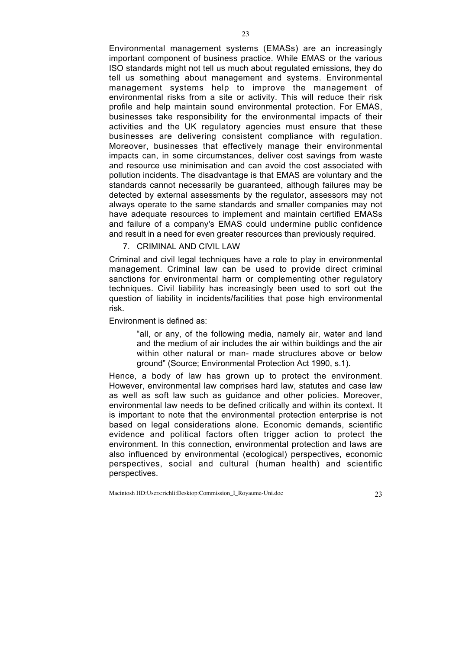Environmental management systems (EMASs) are an increasingly important component of business practice. While EMAS or the various ISO standards might not tell us much about regulated emissions, they do tell us something about management and systems. Environmental management systems help to improve the management of environmental risks from a site or activity. This will reduce their risk profile and help maintain sound environmental protection. For EMAS, businesses take responsibility for the environmental impacts of their activities and the UK regulatory agencies must ensure that these businesses are delivering consistent compliance with regulation. Moreover, businesses that effectively manage their environmental impacts can, in some circumstances, deliver cost savings from waste and resource use minimisation and can avoid the cost associated with pollution incidents. The disadvantage is that EMAS are voluntary and the standards cannot necessarily be guaranteed, although failures may be detected by external assessments by the regulator, assessors may not always operate to the same standards and smaller companies may not have adequate resources to implement and maintain certified EMASs and failure of a company's EMAS could undermine public confidence and result in a need for even greater resources than previously required.

7. CRIMINAL AND CIVIL LAW

Criminal and civil legal techniques have a role to play in environmental management. Criminal law can be used to provide direct criminal sanctions for environmental harm or complementing other regulatory techniques. Civil liability has increasingly been used to sort out the question of liability in incidents/facilities that pose high environmental risk.

Environment is defined as:

"all, or any, of the following media, namely air, water and land and the medium of air includes the air within buildings and the air within other natural or man- made structures above or below ground" (Source; Environmental Protection Act 1990, s.1).

Hence, a body of law has grown up to protect the environment. However, environmental law comprises hard law, statutes and case law as well as soft law such as guidance and other policies. Moreover, environmental law needs to be defined critically and within its context. It is important to note that the environmental protection enterprise is not based on legal considerations alone. Economic demands, scientific evidence and political factors often trigger action to protect the environment. In this connection, environmental protection and laws are also influenced by environmental (ecological) perspectives, economic perspectives, social and cultural (human health) and scientific perspectives.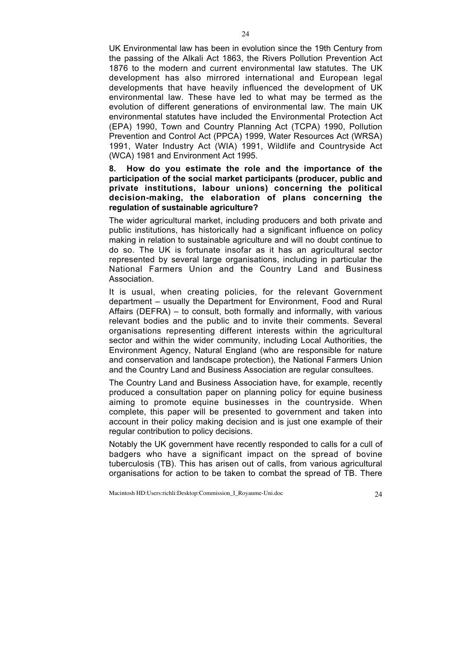UK Environmental law has been in evolution since the 19th Century from the passing of the Alkali Act 1863, the Rivers Pollution Prevention Act 1876 to the modern and current environmental law statutes. The UK development has also mirrored international and European legal developments that have heavily influenced the development of UK environmental law. These have led to what may be termed as the evolution of different generations of environmental law. The main UK environmental statutes have included the Environmental Protection Act (EPA) 1990, Town and Country Planning Act (TCPA) 1990, Pollution Prevention and Control Act (PPCA) 1999, Water Resources Act (WRSA) 1991, Water Industry Act (WIA) 1991, Wildlife and Countryside Act (WCA) 1981 and Environment Act 1995.

 $24$ 

### **8. How do you estimate the role and the importance of the participation of the social market participants (producer, public and private institutions, labour unions) concerning the political decision-making, the elaboration of plans concerning the regulation of sustainable agriculture?**

The wider agricultural market, including producers and both private and public institutions, has historically had a significant influence on policy making in relation to sustainable agriculture and will no doubt continue to do so. The UK is fortunate insofar as it has an agricultural sector represented by several large organisations, including in particular the National Farmers Union and the Country Land and Business Association.

It is usual, when creating policies, for the relevant Government department – usually the Department for Environment, Food and Rural Affairs (DEFRA) – to consult, both formally and informally, with various relevant bodies and the public and to invite their comments. Several organisations representing different interests within the agricultural sector and within the wider community, including Local Authorities, the Environment Agency, Natural England (who are responsible for nature and conservation and landscape protection), the National Farmers Union and the Country Land and Business Association are regular consultees.

The Country Land and Business Association have, for example, recently produced a consultation paper on planning policy for equine business aiming to promote equine businesses in the countryside. When complete, this paper will be presented to government and taken into account in their policy making decision and is just one example of their regular contribution to policy decisions.

Notably the UK government have recently responded to calls for a cull of badgers who have a significant impact on the spread of bovine tuberculosis (TB). This has arisen out of calls, from various agricultural organisations for action to be taken to combat the spread of TB. There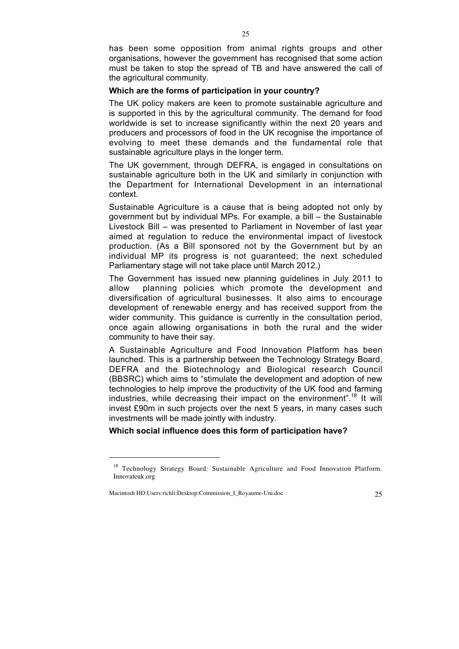has been some opposition from animal rights groups and other organisations, however the government has recognised that some action must be taken to stop the spread of TB and have answered the call of the agricultural community.

#### **Which are the forms of participation in your country?**

The UK policy makers are keen to promote sustainable agriculture and is supported in this by the agricultural community. The demand for food worldwide is set to increase significantly within the next 20 years and producers and processors of food in the UK recognise the importance of evolving to meet these demands and the fundamental role that sustainable agriculture plays in the longer term.

The UK government, through DEFRA, is engaged in consultations on sustainable agriculture both in the UK and similarly in conjunction with the Department for International Development in an international context.

Sustainable Agriculture is a cause that is being adopted not only by government but by individual MPs. For example, a bill – the Sustainable Livestock Bill – was presented to Parliament in November of last year aimed at regulation to reduce the environmental impact of livestock production. (As a Bill sponsored not by the Government but by an individual MP its progress is not guaranteed; the next scheduled Parliamentary stage will not take place until March 2012.)

The Government has issued new planning guidelines in July 2011 to allow planning policies which promote the development and diversification of agricultural businesses. It also aims to encourage development of renewable energy and has received support from the wider community. This guidance is currently in the consultation period, once again allowing organisations in both the rural and the wider community to have their say.

A Sustainable Agriculture and Food Innovation Platform has been launched. This is a partnership between the Technology Strategy Board, DEFRA and the Biotechnology and Biological research Council (BBSRC) which aims to "stimulate the development and adoption of new technologies to help improve the productivity of the UK food and farming industries, while decreasing their impact on the environment".<sup>18</sup> It will invest £90m in such projects over the next 5 years, in many cases such investments will be made jointly with industry.

**Which social influence does this form of participation have?**

Macintosh HD:Users:richli:Desktop:Commission\_I\_Royaume-Uni.doc 25

 $\overline{a}$ 

<sup>&</sup>lt;sup>18</sup> Technology Strategy Board: Sustainable Agriculture and Food Innovation Platform. Innovateuk.org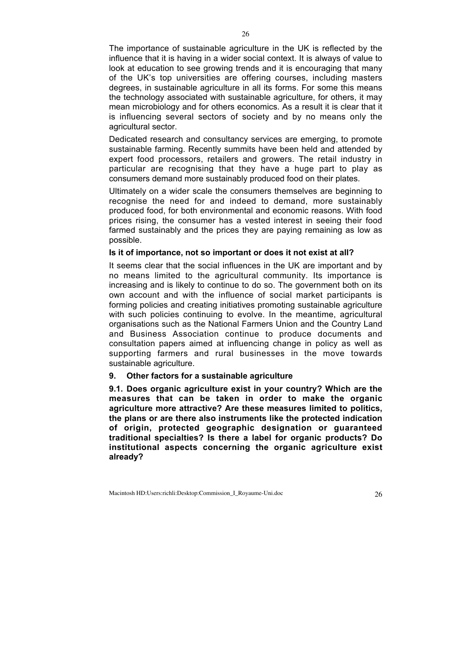The importance of sustainable agriculture in the UK is reflected by the influence that it is having in a wider social context. It is always of value to look at education to see growing trends and it is encouraging that many of the UK's top universities are offering courses, including masters degrees, in sustainable agriculture in all its forms. For some this means the technology associated with sustainable agriculture, for others, it may mean microbiology and for others economics. As a result it is clear that it is influencing several sectors of society and by no means only the agricultural sector.

Dedicated research and consultancy services are emerging, to promote sustainable farming. Recently summits have been held and attended by expert food processors, retailers and growers. The retail industry in particular are recognising that they have a huge part to play as consumers demand more sustainably produced food on their plates.

Ultimately on a wider scale the consumers themselves are beginning to recognise the need for and indeed to demand, more sustainably produced food, for both environmental and economic reasons. With food prices rising, the consumer has a vested interest in seeing their food farmed sustainably and the prices they are paying remaining as low as possible.

#### **Is it of importance, not so important or does it not exist at all?**

It seems clear that the social influences in the UK are important and by no means limited to the agricultural community. Its importance is increasing and is likely to continue to do so. The government both on its own account and with the influence of social market participants is forming policies and creating initiatives promoting sustainable agriculture with such policies continuing to evolve. In the meantime, agricultural organisations such as the National Farmers Union and the Country Land and Business Association continue to produce documents and consultation papers aimed at influencing change in policy as well as supporting farmers and rural businesses in the move towards sustainable agriculture.

## **9. Other factors for a sustainable agriculture**

**9.1. Does organic agriculture exist in your country? Which are the measures that can be taken in order to make the organic agriculture more attractive? Are these measures limited to politics, the plans or are there also instruments like the protected indication of origin, protected geographic designation or guaranteed traditional specialties? Is there a label for organic products? Do institutional aspects concerning the organic agriculture exist already?**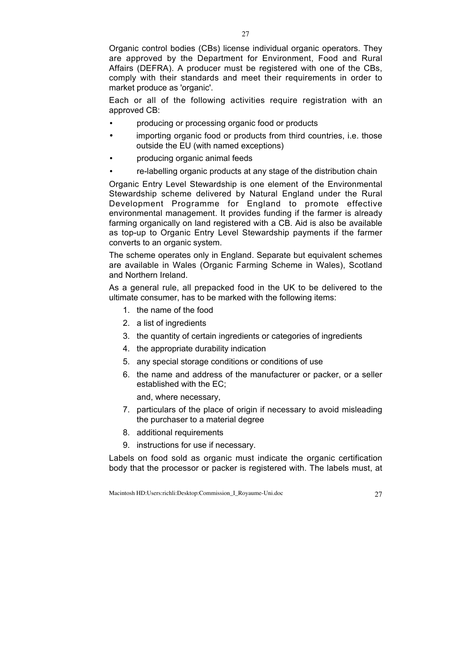Organic control bodies (CBs) license individual organic operators. They are approved by the Department for Environment, Food and Rural Affairs (DEFRA). A producer must be registered with one of the CBs, comply with their standards and meet their requirements in order to market produce as 'organic'.

Each or all of the following activities require registration with an approved CB:

- producing or processing organic food or products
- importing organic food or products from third countries, i.e. those outside the EU (with named exceptions)
- producing organic animal feeds
- re-labelling organic products at any stage of the distribution chain

Organic Entry Level Stewardship is one element of the Environmental Stewardship scheme delivered by Natural England under the Rural Development Programme for England to promote effective environmental management. It provides funding if the farmer is already farming organically on land registered with a CB. Aid is also be available as top-up to Organic Entry Level Stewardship payments if the farmer converts to an organic system.

The scheme operates only in England. Separate but equivalent schemes are available in Wales (Organic Farming Scheme in Wales), Scotland and Northern Ireland.

As a general rule, all prepacked food in the UK to be delivered to the ultimate consumer, has to be marked with the following items:

- 1. the name of the food
- 2. a list of ingredients
- 3. the quantity of certain ingredients or categories of ingredients
- 4. the appropriate durability indication
- 5. any special storage conditions or conditions of use
- 6. the name and address of the manufacturer or packer, or a seller established with the EC;

and, where necessary,

- 7. particulars of the place of origin if necessary to avoid misleading the purchaser to a material degree
- 8. additional requirements
- 9. instructions for use if necessary.

Labels on food sold as organic must indicate the organic certification body that the processor or packer is registered with. The labels must, at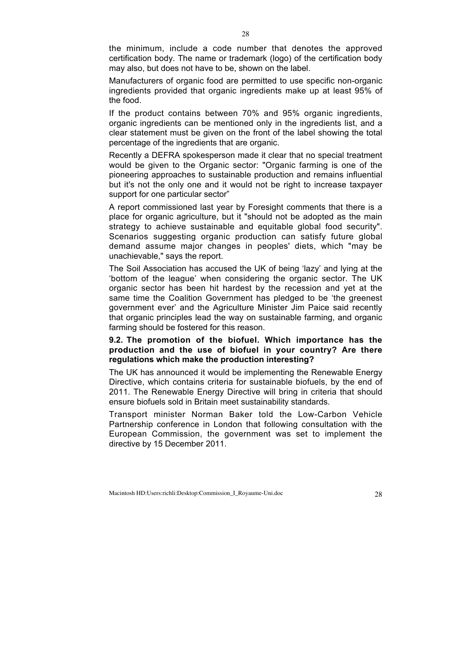the minimum, include a code number that denotes the approved certification body. The name or trademark (logo) of the certification body may also, but does not have to be, shown on the label.

Manufacturers of organic food are permitted to use specific non-organic ingredients provided that organic ingredients make up at least 95% of the food.

If the product contains between 70% and 95% organic ingredients, organic ingredients can be mentioned only in the ingredients list, and a clear statement must be given on the front of the label showing the total percentage of the ingredients that are organic.

Recently a DEFRA spokesperson made it clear that no special treatment would be given to the Organic sector: "Organic farming is one of the pioneering approaches to sustainable production and remains influential but it's not the only one and it would not be right to increase taxpayer support for one particular sector"

A report commissioned last year by Foresight comments that there is a place for organic agriculture, but it "should not be adopted as the main strategy to achieve sustainable and equitable global food security". Scenarios suggesting organic production can satisfy future global demand assume major changes in peoples' diets, which "may be unachievable," says the report.

The Soil Association has accused the UK of being 'lazy' and lying at the 'bottom of the league' when considering the organic sector. The UK organic sector has been hit hardest by the recession and yet at the same time the Coalition Government has pledged to be 'the greenest government ever' and the Agriculture Minister Jim Paice said recently that organic principles lead the way on sustainable farming, and organic farming should be fostered for this reason.

# **9.2. The promotion of the biofuel. Which importance has the production and the use of biofuel in your country? Are there regulations which make the production interesting?**

The UK has announced it would be implementing the Renewable Energy Directive, which contains criteria for sustainable biofuels, by the end of 2011. The Renewable Energy Directive will bring in criteria that should ensure biofuels sold in Britain meet sustainability standards.

Transport minister Norman Baker told the Low-Carbon Vehicle Partnership conference in London that following consultation with the European Commission, the government was set to implement the directive by 15 December 2011.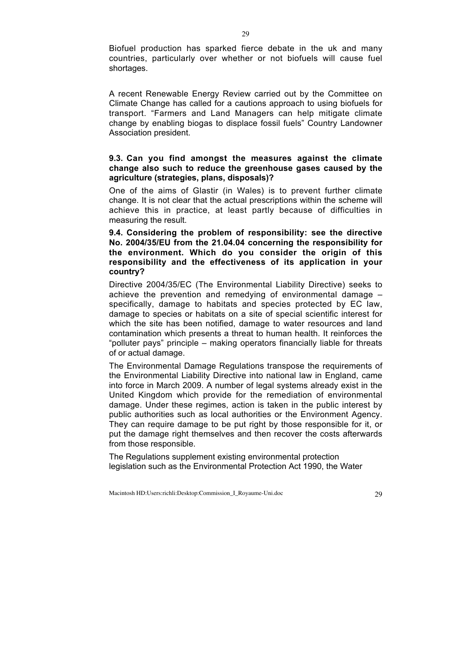Biofuel production has sparked fierce debate in the uk and many countries, particularly over whether or not biofuels will cause fuel shortages.

A recent Renewable Energy Review carried out by the Committee on Climate Change has called for a cautions approach to using biofuels for transport. "Farmers and Land Managers can help mitigate climate change by enabling biogas to displace fossil fuels" Country Landowner Association president.

### **9.3. Can you find amongst the measures against the climate change also such to reduce the greenhouse gases caused by the agriculture (strategies, plans, disposals)?**

One of the aims of Glastir (in Wales) is to prevent further climate change. It is not clear that the actual prescriptions within the scheme will achieve this in practice, at least partly because of difficulties in measuring the result.

**9.4. Considering the problem of responsibility: see the directive No. 2004/35/EU from the 21.04.04 concerning the responsibility for the environment. Which do you consider the origin of this responsibility and the effectiveness of its application in your country?**

Directive 2004/35/EC (The Environmental Liability Directive) seeks to achieve the prevention and remedying of environmental damage – specifically, damage to habitats and species protected by EC law, damage to species or habitats on a site of special scientific interest for which the site has been notified, damage to water resources and land contamination which presents a threat to human health. It reinforces the "polluter pays" principle – making operators financially liable for threats of or actual damage.

The Environmental Damage Regulations transpose the requirements of the Environmental Liability Directive into national law in England, came into force in March 2009. A number of legal systems already exist in the United Kingdom which provide for the remediation of environmental damage. Under these regimes, action is taken in the public interest by public authorities such as local authorities or the Environment Agency. They can require damage to be put right by those responsible for it, or put the damage right themselves and then recover the costs afterwards from those responsible.

The Regulations supplement existing environmental protection legislation such as the Environmental Protection Act 1990, the Water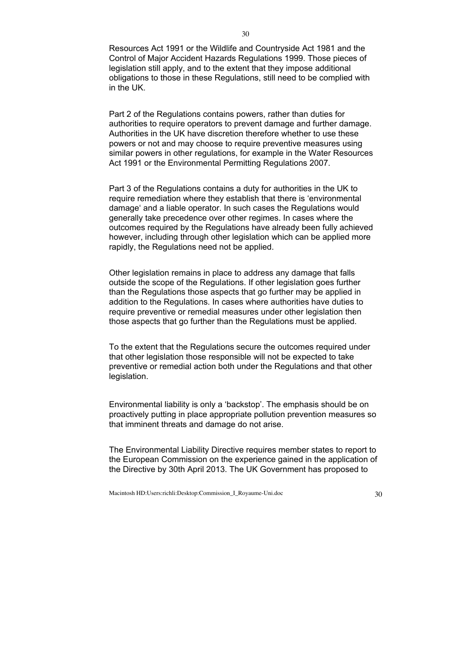Resources Act 1991 or the Wildlife and Countryside Act 1981 and the Control of Major Accident Hazards Regulations 1999. Those pieces of legislation still apply, and to the extent that they impose additional obligations to those in these Regulations, still need to be complied with in the UK.

Part 2 of the Regulations contains powers, rather than duties for authorities to require operators to prevent damage and further damage. Authorities in the UK have discretion therefore whether to use these powers or not and may choose to require preventive measures using similar powers in other regulations, for example in the Water Resources Act 1991 or the Environmental Permitting Regulations 2007.

Part 3 of the Regulations contains a duty for authorities in the UK to require remediation where they establish that there is 'environmental damage' and a liable operator. In such cases the Regulations would generally take precedence over other regimes. In cases where the outcomes required by the Regulations have already been fully achieved however, including through other legislation which can be applied more rapidly, the Regulations need not be applied.

Other legislation remains in place to address any damage that falls outside the scope of the Regulations. If other legislation goes further than the Regulations those aspects that go further may be applied in addition to the Regulations. In cases where authorities have duties to require preventive or remedial measures under other legislation then those aspects that go further than the Regulations must be applied.

To the extent that the Regulations secure the outcomes required under that other legislation those responsible will not be expected to take preventive or remedial action both under the Regulations and that other legislation.

Environmental liability is only a 'backstop'. The emphasis should be on proactively putting in place appropriate pollution prevention measures so that imminent threats and damage do not arise.

The Environmental Liability Directive requires member states to report to the European Commission on the experience gained in the application of the Directive by 30th April 2013. The UK Government has proposed to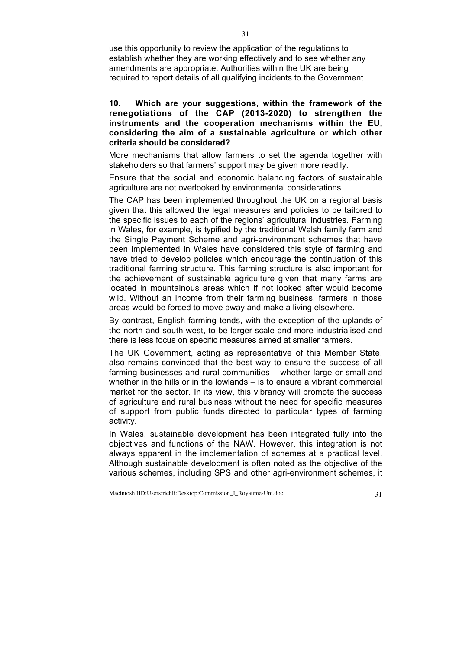use this opportunity to review the application of the regulations to establish whether they are working effectively and to see whether any amendments are appropriate. Authorities within the UK are being required to report details of all qualifying incidents to the Government

## **10. Which are your suggestions, within the framework of the renegotiations of the CAP (2013-2020) to strengthen the instruments and the cooperation mechanisms within the EU, considering the aim of a sustainable agriculture or which other criteria should be considered?**

More mechanisms that allow farmers to set the agenda together with stakeholders so that farmers' support may be given more readily.

Ensure that the social and economic balancing factors of sustainable agriculture are not overlooked by environmental considerations.

The CAP has been implemented throughout the UK on a regional basis given that this allowed the legal measures and policies to be tailored to the specific issues to each of the regions' agricultural industries. Farming in Wales, for example, is typified by the traditional Welsh family farm and the Single Payment Scheme and agri-environment schemes that have been implemented in Wales have considered this style of farming and have tried to develop policies which encourage the continuation of this traditional farming structure. This farming structure is also important for the achievement of sustainable agriculture given that many farms are located in mountainous areas which if not looked after would become wild. Without an income from their farming business, farmers in those areas would be forced to move away and make a living elsewhere.

By contrast, English farming tends, with the exception of the uplands of the north and south-west, to be larger scale and more industrialised and there is less focus on specific measures aimed at smaller farmers.

The UK Government, acting as representative of this Member State, also remains convinced that the best way to ensure the success of all farming businesses and rural communities – whether large or small and whether in the hills or in the lowlands – is to ensure a vibrant commercial market for the sector. In its view, this vibrancy will promote the success of agriculture and rural business without the need for specific measures of support from public funds directed to particular types of farming activity.

In Wales, sustainable development has been integrated fully into the objectives and functions of the NAW. However, this integration is not always apparent in the implementation of schemes at a practical level. Although sustainable development is often noted as the objective of the various schemes, including SPS and other agri-environment schemes, it